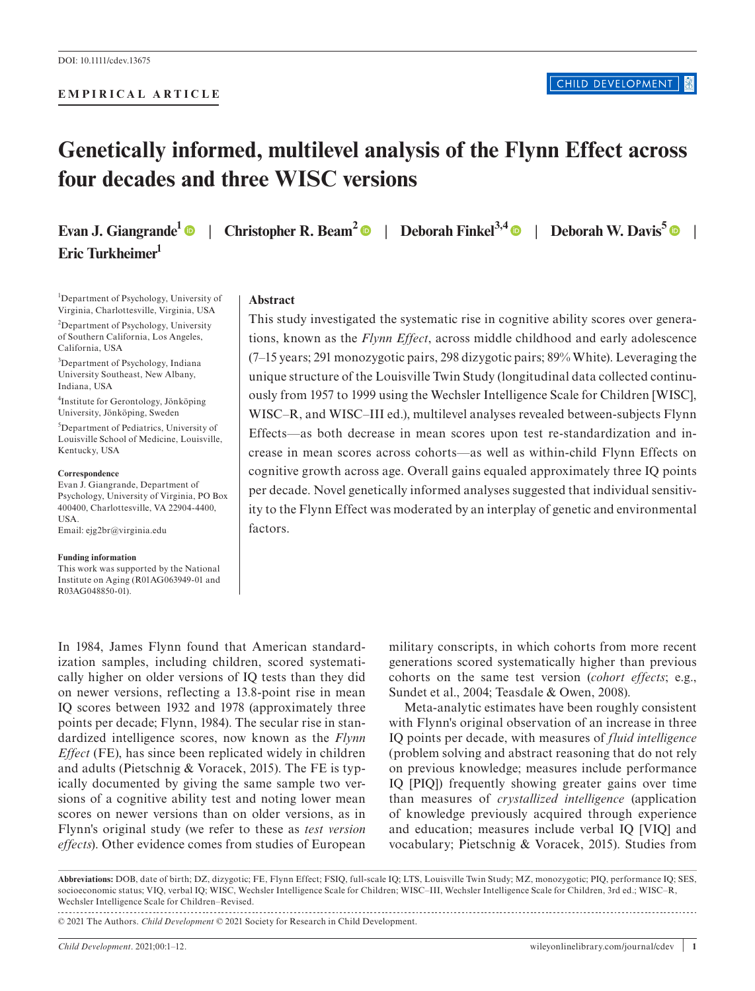#### **EMPIRICAL ARTICLE**

# **Genetically informed, multilevel analysis of the Flynn Effect across four decades and three WISC versions**

**Evan J. Giangrande<sup>[1](https://orcid.org/0000-0002-8023-0062)</sup>**  $\bullet$  **| Christopher R. Beam<sup>[2](https://orcid.org/0000-0001-6827-409X)</sup>**  $\bullet$  **| Deborah Finkel<sup>3,4</sup>**  $\bullet$  **| Deborah W. Davis<sup>[5](https://orcid.org/0000-0002-5943-3877)</sup>**  $\bullet$  **| Eric Turkheimer1**

<sup>1</sup>Department of Psychology, University of Virginia, Charlottesville, Virginia, USA

<sup>2</sup>Department of Psychology, University of Southern California, Los Angeles, California, USA

<sup>3</sup>Department of Psychology, Indiana University Southeast, New Albany, Indiana, USA

4 Institute for Gerontology, Jönköping University, Jönköping, Sweden

5 Department of Pediatrics, University of Louisville School of Medicine, Louisville, Kentucky, USA

#### **Correspondence**

Evan J. Giangrande, Department of Psychology, University of Virginia, PO Box 400400, Charlottesville, VA 22904-4400, USA. Email: [ejg2br@virginia.edu](mailto:ejg2br@virginia.edu)

**Funding information** This work was supported by the National Institute on Aging (R01AG063949-01 and R03AG048850-01).

#### **Abstract**

This study investigated the systematic rise in cognitive ability scores over generations, known as the *Flynn Effect*, across middle childhood and early adolescence (7–15 years; 291 monozygotic pairs, 298 dizygotic pairs; 89% White). Leveraging the unique structure of the Louisville Twin Study (longitudinal data collected continuously from 1957 to 1999 using the Wechsler Intelligence Scale for Children [WISC], WISC–R, and WISC–III ed.), multilevel analyses revealed between-subjects Flynn Effects—as both decrease in mean scores upon test re-standardization and increase in mean scores across cohorts—as well as within-child Flynn Effects on cognitive growth across age. Overall gains equaled approximately three IQ points per decade. Novel genetically informed analyses suggested that individual sensitivity to the Flynn Effect was moderated by an interplay of genetic and environmental factors.

In 1984, James Flynn found that American standardization samples, including children, scored systematically higher on older versions of IQ tests than they did on newer versions, reflecting a 13.8-point rise in mean IQ scores between 1932 and 1978 (approximately three points per decade; Flynn, 1984). The secular rise in standardized intelligence scores, now known as the *Flynn Effect* (FE), has since been replicated widely in children and adults (Pietschnig & Voracek, 2015). The FE is typically documented by giving the same sample two versions of a cognitive ability test and noting lower mean scores on newer versions than on older versions, as in Flynn's original study (we refer to these as *test version effects*). Other evidence comes from studies of European

military conscripts, in which cohorts from more recent generations scored systematically higher than previous cohorts on the same test version (*cohort effects*; e.g., Sundet et al., 2004; Teasdale & Owen, 2008).

Meta-analytic estimates have been roughly consistent with Flynn's original observation of an increase in three IQ points per decade, with measures of *fluid intelligence* (problem solving and abstract reasoning that do not rely on previous knowledge; measures include performance IQ [PIQ]) frequently showing greater gains over time than measures of *crystallized intelligence* (application of knowledge previously acquired through experience and education; measures include verbal IQ [VIQ] and vocabulary; Pietschnig & Voracek, 2015). Studies from

**Abbreviations:** DOB, date of birth; DZ, dizygotic; FE, Flynn Effect; FSIQ, full-scale IQ; LTS, Louisville Twin Study; MZ, monozygotic; PIQ, performance IQ; SES, socioeconomic status; VIQ, verbal IQ; WISC, Wechsler Intelligence Scale for Children; WISC–III, Wechsler Intelligence Scale for Children, 3rd ed.; WISC–R, Wechsler Intelligence Scale for Children–Revised. 

© 2021 The Authors. *Child Development* © 2021 Society for Research in Child Development.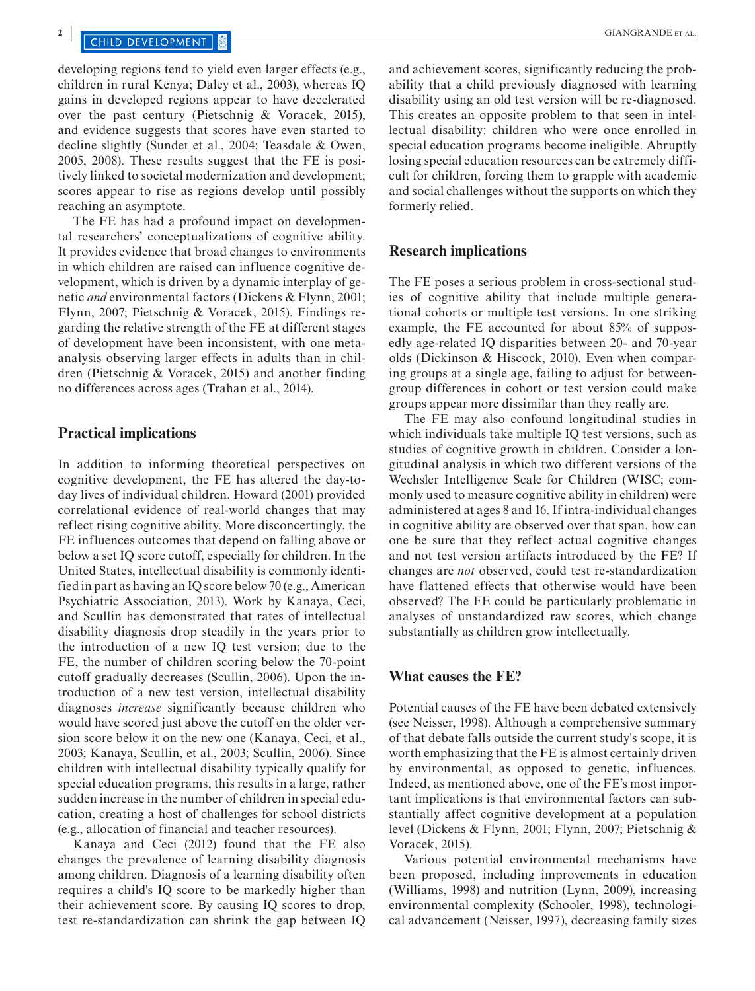developing regions tend to yield even larger effects (e.g., children in rural Kenya; Daley et al., 2003), whereas IQ gains in developed regions appear to have decelerated over the past century (Pietschnig & Voracek, 2015), and evidence suggests that scores have even started to decline slightly (Sundet et al., 2004; Teasdale & Owen, 2005, 2008). These results suggest that the FE is positively linked to societal modernization and development; scores appear to rise as regions develop until possibly reaching an asymptote.

The FE has had a profound impact on developmental researchers' conceptualizations of cognitive ability. It provides evidence that broad changes to environments in which children are raised can influence cognitive development, which is driven by a dynamic interplay of genetic *and* environmental factors (Dickens & Flynn, 2001; Flynn, 2007; Pietschnig & Voracek, 2015). Findings regarding the relative strength of the FE at different stages of development have been inconsistent, with one metaanalysis observing larger effects in adults than in children (Pietschnig & Voracek, 2015) and another finding no differences across ages (Trahan et al., 2014).

#### **Practical implications**

In addition to informing theoretical perspectives on cognitive development, the FE has altered the day-today lives of individual children. Howard (2001) provided correlational evidence of real-world changes that may reflect rising cognitive ability. More disconcertingly, the FE influences outcomes that depend on falling above or below a set IQ score cutoff, especially for children. In the United States, intellectual disability is commonly identified in part as having an IQ score below 70 (e.g., American Psychiatric Association, 2013). Work by Kanaya, Ceci, and Scullin has demonstrated that rates of intellectual disability diagnosis drop steadily in the years prior to the introduction of a new IQ test version; due to the FE, the number of children scoring below the 70-point cutoff gradually decreases (Scullin, 2006). Upon the introduction of a new test version, intellectual disability diagnoses *increase* significantly because children who would have scored just above the cutoff on the older version score below it on the new one (Kanaya, Ceci, et al., 2003; Kanaya, Scullin, et al., 2003; Scullin, 2006). Since children with intellectual disability typically qualify for special education programs, this results in a large, rather sudden increase in the number of children in special education, creating a host of challenges for school districts (e.g., allocation of financial and teacher resources).

Kanaya and Ceci (2012) found that the FE also changes the prevalence of learning disability diagnosis among children. Diagnosis of a learning disability often requires a child's IQ score to be markedly higher than their achievement score. By causing IQ scores to drop, test re-standardization can shrink the gap between IQ

and achievement scores, significantly reducing the probability that a child previously diagnosed with learning disability using an old test version will be re-diagnosed. This creates an opposite problem to that seen in intellectual disability: children who were once enrolled in special education programs become ineligible. Abruptly losing special education resources can be extremely difficult for children, forcing them to grapple with academic and social challenges without the supports on which they formerly relied.

#### **Research implications**

The FE poses a serious problem in cross-sectional studies of cognitive ability that include multiple generational cohorts or multiple test versions. In one striking example, the FE accounted for about 85% of supposedly age-related IQ disparities between 20- and 70-year olds (Dickinson & Hiscock, 2010). Even when comparing groups at a single age, failing to adjust for betweengroup differences in cohort or test version could make groups appear more dissimilar than they really are.

The FE may also confound longitudinal studies in which individuals take multiple IQ test versions, such as studies of cognitive growth in children. Consider a longitudinal analysis in which two different versions of the Wechsler Intelligence Scale for Children (WISC; commonly used to measure cognitive ability in children) were administered at ages 8 and 16. If intra-individual changes in cognitive ability are observed over that span, how can one be sure that they reflect actual cognitive changes and not test version artifacts introduced by the FE? If changes are *not* observed, could test re-standardization have flattened effects that otherwise would have been observed? The FE could be particularly problematic in analyses of unstandardized raw scores, which change substantially as children grow intellectually.

#### **What causes the FE?**

Potential causes of the FE have been debated extensively (see Neisser, 1998). Although a comprehensive summary of that debate falls outside the current study's scope, it is worth emphasizing that the FE is almost certainly driven by environmental, as opposed to genetic, influences. Indeed, as mentioned above, one of the FE's most important implications is that environmental factors can substantially affect cognitive development at a population level (Dickens & Flynn, 2001; Flynn, 2007; Pietschnig & Voracek, 2015).

Various potential environmental mechanisms have been proposed, including improvements in education (Williams, 1998) and nutrition (Lynn, 2009), increasing environmental complexity (Schooler, 1998), technological advancement (Neisser, 1997), decreasing family sizes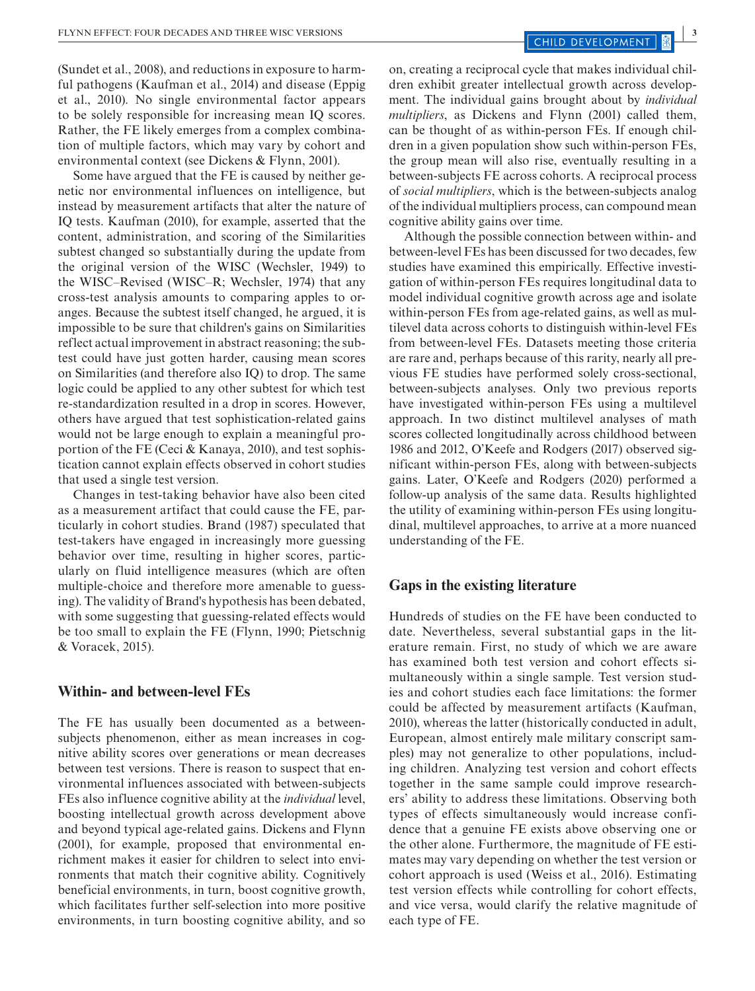(Sundet et al., 2008), and reductions in exposure to harmful pathogens (Kaufman et al., 2014) and disease (Eppig et al., 2010). No single environmental factor appears to be solely responsible for increasing mean IQ scores. Rather, the FE likely emerges from a complex combination of multiple factors, which may vary by cohort and environmental context (see Dickens & Flynn, 2001).

Some have argued that the FE is caused by neither genetic nor environmental influences on intelligence, but instead by measurement artifacts that alter the nature of IQ tests. Kaufman (2010), for example, asserted that the content, administration, and scoring of the Similarities subtest changed so substantially during the update from the original version of the WISC (Wechsler, 1949) to the WISC–Revised (WISC–R; Wechsler, 1974) that any cross-test analysis amounts to comparing apples to oranges. Because the subtest itself changed, he argued, it is impossible to be sure that children's gains on Similarities reflect actual improvement in abstract reasoning; the subtest could have just gotten harder, causing mean scores on Similarities (and therefore also IQ) to drop. The same logic could be applied to any other subtest for which test re-standardization resulted in a drop in scores. However, others have argued that test sophistication-related gains would not be large enough to explain a meaningful proportion of the FE (Ceci & Kanaya, 2010), and test sophistication cannot explain effects observed in cohort studies that used a single test version.

Changes in test-taking behavior have also been cited as a measurement artifact that could cause the FE, particularly in cohort studies. Brand (1987) speculated that test-takers have engaged in increasingly more guessing behavior over time, resulting in higher scores, particularly on fluid intelligence measures (which are often multiple-choice and therefore more amenable to guessing). The validity of Brand's hypothesis has been debated, with some suggesting that guessing-related effects would be too small to explain the FE (Flynn, 1990; Pietschnig & Voracek, 2015).

### **Within- and between-level FEs**

The FE has usually been documented as a betweensubjects phenomenon, either as mean increases in cognitive ability scores over generations or mean decreases between test versions. There is reason to suspect that environmental influences associated with between-subjects FEs also influence cognitive ability at the *individual* level, boosting intellectual growth across development above and beyond typical age-related gains. Dickens and Flynn (2001), for example, proposed that environmental enrichment makes it easier for children to select into environments that match their cognitive ability. Cognitively beneficial environments, in turn, boost cognitive growth, which facilitates further self-selection into more positive environments, in turn boosting cognitive ability, and so

on, creating a reciprocal cycle that makes individual children exhibit greater intellectual growth across development. The individual gains brought about by *individual multipliers*, as Dickens and Flynn (2001) called them, can be thought of as within-person FEs. If enough children in a given population show such within-person FEs, the group mean will also rise, eventually resulting in a between-subjects FE across cohorts. A reciprocal process of *social multipliers*, which is the between-subjects analog of the individual multipliers process, can compound mean cognitive ability gains over time.

Although the possible connection between within- and between-level FEs has been discussed for two decades, few studies have examined this empirically. Effective investigation of within-person FEs requires longitudinal data to model individual cognitive growth across age and isolate within-person FEs from age-related gains, as well as multilevel data across cohorts to distinguish within-level FEs from between-level FEs. Datasets meeting those criteria are rare and, perhaps because of this rarity, nearly all previous FE studies have performed solely cross-sectional, between-subjects analyses. Only two previous reports have investigated within-person FEs using a multilevel approach. In two distinct multilevel analyses of math scores collected longitudinally across childhood between 1986 and 2012, O'Keefe and Rodgers (2017) observed significant within-person FEs, along with between-subjects gains. Later, O'Keefe and Rodgers (2020) performed a follow-up analysis of the same data. Results highlighted the utility of examining within-person FEs using longitudinal, multilevel approaches, to arrive at a more nuanced understanding of the FE.

### **Gaps in the existing literature**

Hundreds of studies on the FE have been conducted to date. Nevertheless, several substantial gaps in the literature remain. First, no study of which we are aware has examined both test version and cohort effects simultaneously within a single sample. Test version studies and cohort studies each face limitations: the former could be affected by measurement artifacts (Kaufman, 2010), whereas the latter (historically conducted in adult, European, almost entirely male military conscript samples) may not generalize to other populations, including children. Analyzing test version and cohort effects together in the same sample could improve researchers' ability to address these limitations. Observing both types of effects simultaneously would increase confidence that a genuine FE exists above observing one or the other alone. Furthermore, the magnitude of FE estimates may vary depending on whether the test version or cohort approach is used (Weiss et al., 2016). Estimating test version effects while controlling for cohort effects, and vice versa, would clarify the relative magnitude of each type of FE.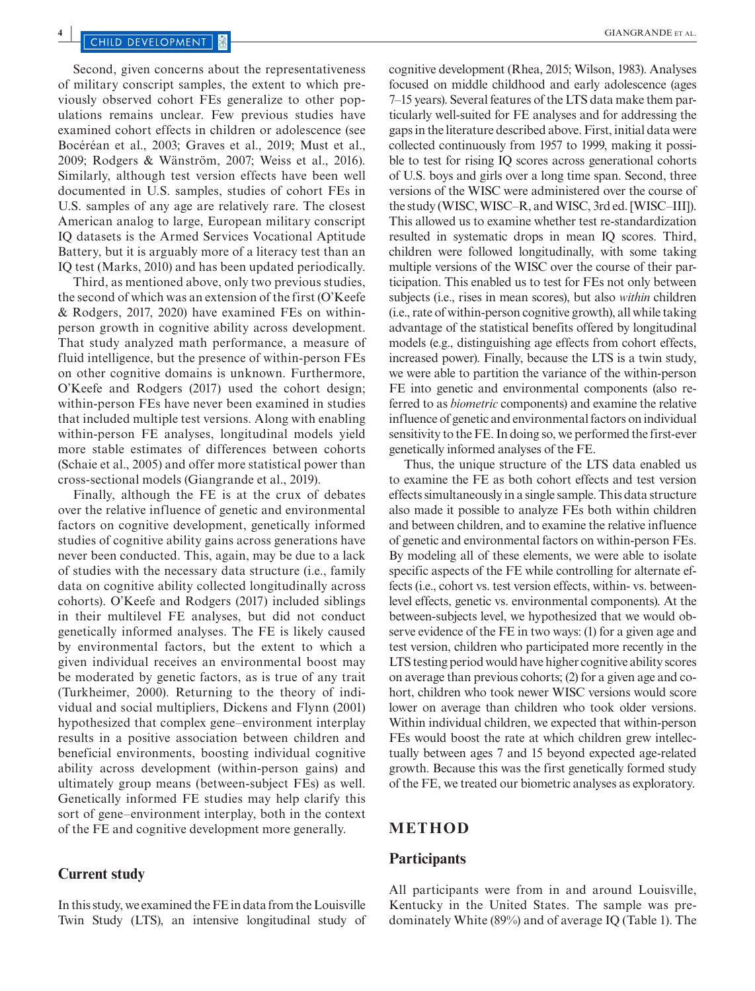Second, given concerns about the representativeness of military conscript samples, the extent to which previously observed cohort FEs generalize to other populations remains unclear. Few previous studies have examined cohort effects in children or adolescence (see Bocéréan et al., 2003; Graves et al., 2019; Must et al., 2009; Rodgers & Wänström, 2007; Weiss et al., 2016). Similarly, although test version effects have been well documented in U.S. samples, studies of cohort FEs in U.S. samples of any age are relatively rare. The closest American analog to large, European military conscript IQ datasets is the Armed Services Vocational Aptitude Battery, but it is arguably more of a literacy test than an IQ test (Marks, 2010) and has been updated periodically.

Third, as mentioned above, only two previous studies, the second of which was an extension of the first (O'Keefe & Rodgers, 2017, 2020) have examined FEs on withinperson growth in cognitive ability across development. That study analyzed math performance, a measure of fluid intelligence, but the presence of within-person FEs on other cognitive domains is unknown. Furthermore, O'Keefe and Rodgers (2017) used the cohort design; within-person FEs have never been examined in studies that included multiple test versions. Along with enabling within-person FE analyses, longitudinal models yield more stable estimates of differences between cohorts (Schaie et al., 2005) and offer more statistical power than cross-sectional models (Giangrande et al., 2019).

Finally, although the FE is at the crux of debates over the relative influence of genetic and environmental factors on cognitive development, genetically informed studies of cognitive ability gains across generations have never been conducted. This, again, may be due to a lack of studies with the necessary data structure (i.e., family data on cognitive ability collected longitudinally across cohorts). O'Keefe and Rodgers (2017) included siblings in their multilevel FE analyses, but did not conduct genetically informed analyses. The FE is likely caused by environmental factors, but the extent to which a given individual receives an environmental boost may be moderated by genetic factors, as is true of any trait (Turkheimer, 2000). Returning to the theory of individual and social multipliers, Dickens and Flynn (2001) hypothesized that complex gene–environment interplay results in a positive association between children and beneficial environments, boosting individual cognitive ability across development (within-person gains) and ultimately group means (between-subject FEs) as well. Genetically informed FE studies may help clarify this sort of gene–environment interplay, both in the context of the FE and cognitive development more generally.

#### **Current study**

In this study, we examined the FE in data from the Louisville Twin Study (LTS), an intensive longitudinal study of cognitive development (Rhea, 2015; Wilson, 1983). Analyses focused on middle childhood and early adolescence (ages 7–15 years). Several features of the LTS data make them particularly well-suited for FE analyses and for addressing the gaps in the literature described above. First, initial data were collected continuously from 1957 to 1999, making it possible to test for rising IQ scores across generational cohorts of U.S. boys and girls over a long time span. Second, three versions of the WISC were administered over the course of the study (WISC, WISC–R, and WISC, 3rd ed. [WISC–III]). This allowed us to examine whether test re-standardization resulted in systematic drops in mean IQ scores. Third, children were followed longitudinally, with some taking multiple versions of the WISC over the course of their participation. This enabled us to test for FEs not only between subjects (i.e., rises in mean scores), but also *within* children (i.e., rate of within-person cognitive growth), all while taking advantage of the statistical benefits offered by longitudinal models (e.g., distinguishing age effects from cohort effects, increased power). Finally, because the LTS is a twin study, we were able to partition the variance of the within-person FE into genetic and environmental components (also referred to as *biometric* components) and examine the relative influence of genetic and environmental factors on individual sensitivity to the FE. In doing so, we performed the first-ever genetically informed analyses of the FE.

Thus, the unique structure of the LTS data enabled us to examine the FE as both cohort effects and test version effects simultaneously in a single sample. This data structure also made it possible to analyze FEs both within children and between children, and to examine the relative influence of genetic and environmental factors on within-person FEs. By modeling all of these elements, we were able to isolate specific aspects of the FE while controlling for alternate effects (i.e., cohort vs. test version effects, within- vs. betweenlevel effects, genetic vs. environmental components). At the between-subjects level, we hypothesized that we would observe evidence of the FE in two ways: (1) for a given age and test version, children who participated more recently in the LTS testing period would have higher cognitive ability scores on average than previous cohorts; (2) for a given age and cohort, children who took newer WISC versions would score lower on average than children who took older versions. Within individual children, we expected that within-person FEs would boost the rate at which children grew intellectually between ages 7 and 15 beyond expected age-related growth. Because this was the first genetically formed study of the FE, we treated our biometric analyses as exploratory.

#### **METHOD**

#### **Participants**

All participants were from in and around Louisville, Kentucky in the United States. The sample was predominately White (89%) and of average IQ (Table 1). The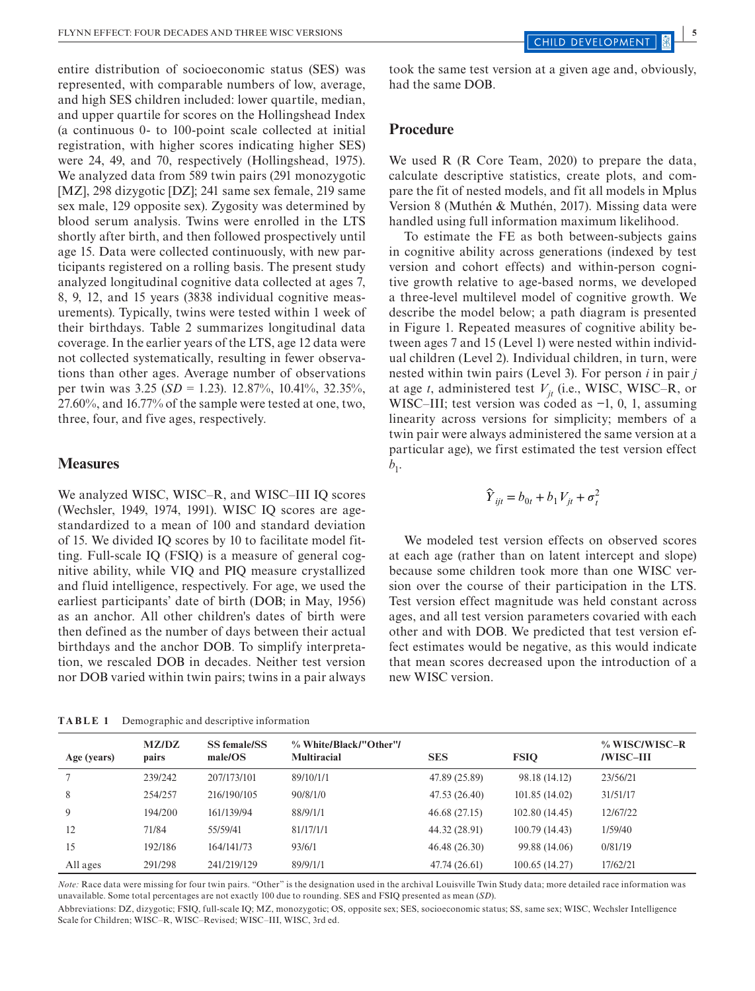entire distribution of socioeconomic status (SES) was represented, with comparable numbers of low, average, and high SES children included: lower quartile, median, and upper quartile for scores on the Hollingshead Index (a continuous 0- to 100-point scale collected at initial registration, with higher scores indicating higher SES) were 24, 49, and 70, respectively (Hollingshead, 1975). We analyzed data from 589 twin pairs (291 monozygotic [MZ], 298 dizygotic [DZ]; 241 same sex female, 219 same sex male, 129 opposite sex). Zygosity was determined by blood serum analysis. Twins were enrolled in the LTS shortly after birth, and then followed prospectively until age 15. Data were collected continuously, with new participants registered on a rolling basis. The present study analyzed longitudinal cognitive data collected at ages 7, 8, 9, 12, and 15 years (3838 individual cognitive measurements). Typically, twins were tested within 1 week of their birthdays. Table 2 summarizes longitudinal data coverage. In the earlier years of the LTS, age 12 data were not collected systematically, resulting in fewer observations than other ages. Average number of observations per twin was 3.25 (*SD* = 1.23). 12.87%, 10.41%, 32.35%, 27.60%, and 16.77% of the sample were tested at one, two, three, four, and five ages, respectively.

#### **Measures**

We analyzed WISC, WISC–R, and WISC–III IQ scores (Wechsler, 1949, 1974, 1991). WISC IQ scores are agestandardized to a mean of 100 and standard deviation of 15. We divided IQ scores by 10 to facilitate model fitting. Full-scale IQ (FSIQ) is a measure of general cognitive ability, while VIQ and PIQ measure crystallized and fluid intelligence, respectively. For age, we used the earliest participants' date of birth (DOB; in May, 1956) as an anchor. All other children's dates of birth were then defined as the number of days between their actual birthdays and the anchor DOB. To simplify interpretation, we rescaled DOB in decades. Neither test version nor DOB varied within twin pairs; twins in a pair always

**TABLE 1** Demographic and descriptive information

took the same test version at a given age and, obviously, had the same DOB.

### **Procedure**

We used R (R Core Team, 2020) to prepare the data, calculate descriptive statistics, create plots, and compare the fit of nested models, and fit all models in Mplus Version 8 (Muthén & Muthén, 2017). Missing data were handled using full information maximum likelihood.

To estimate the FE as both between-subjects gains in cognitive ability across generations (indexed by test version and cohort effects) and within-person cognitive growth relative to age-based norms, we developed a three-level multilevel model of cognitive growth. We describe the model below; a path diagram is presented in Figure 1. Repeated measures of cognitive ability between ages 7 and 15 (Level 1) were nested within individual children (Level 2). Individual children, in turn, were nested within twin pairs (Level 3). For person *i* in pair *j* at age *t*, administered test  $V_{it}$  (i.e., WISC, WISC–R, or WISC–III; test version was coded as −1, 0, 1, assuming linearity across versions for simplicity; members of a twin pair were always administered the same version at a particular age), we first estimated the test version effect  $b_{1}$ .

$$
\hat{Y}_{ijt} = b_{0t} + b_1 V_{jt} + \sigma_t^2
$$

We modeled test version effects on observed scores at each age (rather than on latent intercept and slope) because some children took more than one WISC version over the course of their participation in the LTS. Test version effect magnitude was held constant across ages, and all test version parameters covaried with each other and with DOB. We predicted that test version effect estimates would be negative, as this would indicate that mean scores decreased upon the introduction of a new WISC version.

| Age (years) | <b>MZ/DZ</b><br>pairs | <b>SS female/SS</b><br>male/OS | % White/Black/"Other"/<br><b>Multiracial</b> | <b>SES</b>    | <b>FSIO</b>   | % WISC/WISC-R<br>/WISC-III |
|-------------|-----------------------|--------------------------------|----------------------------------------------|---------------|---------------|----------------------------|
|             | 239/242               | 207/173/101                    | 89/10/1/1                                    | 47.89 (25.89) | 98.18 (14.12) | 23/56/21                   |
| 8           | 254/257               | 216/190/105                    | 90/8/1/0                                     | 47.53 (26.40) | 101.85(14.02) | 31/51/17                   |
| 9           | 194/200               | 161/139/94                     | 88/9/1/1                                     | 46.68 (27.15) | 102.80(14.45) | 12/67/22                   |
| 12          | 71/84                 | 55/59/41                       | 81/17/1/1                                    | 44.32 (28.91) | 100.79(14.43) | 1/59/40                    |
| 15          | 192/186               | 164/141/73                     | 93/6/1                                       | 46.48 (26.30) | 99.88 (14.06) | 0/81/19                    |
| All ages    | 291/298               | 241/219/129                    | 89/9/1/1                                     | 47.74 (26.61) | 100.65(14.27) | 17/62/21                   |

*Note:* Race data were missing for four twin pairs. "Other" is the designation used in the archival Louisville Twin Study data; more detailed race information was unavailable. Some total percentages are not exactly 100 due to rounding. SES and FSIQ presented as mean (*SD*).

Abbreviations: DZ, dizygotic; FSIQ, full-scale IQ; MZ, monozygotic; OS, opposite sex; SES, socioeconomic status; SS, same sex; WISC, Wechsler Intelligence Scale for Children; WISC–R, WISC–Revised; WISC–III, WISC, 3rd ed.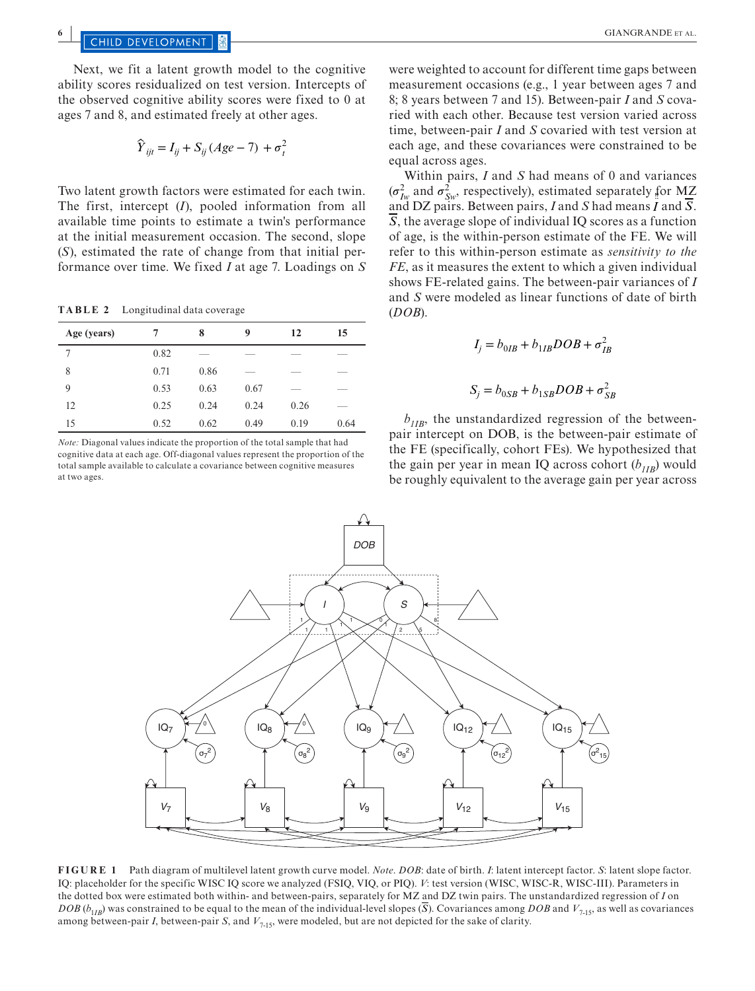**6 CHILD DEVELOPMENT SPACE EXCLUSIVE EXCLUSIVE EXCLUSIVE EXCLUSIVE EXCLUSIVE EXCLUSIVE EXPACE EXCLUSIVE EXCLUSIVE EXCLUSIVE EXCLUSIVE EXCLUSIVE EXCLUSIVE EXCLUSIVE EXPLORER AL.** 

Next, we fit a latent growth model to the cognitive ability scores residualized on test version. Intercepts of the observed cognitive ability scores were fixed to 0 at ages 7 and 8, and estimated freely at other ages.

$$
\hat{Y}_{ijt} = I_{ij} + S_{ij} (Age - 7) + \sigma_t^2
$$

Two latent growth factors were estimated for each twin. The first, intercept (*I*), pooled information from all available time points to estimate a twin's performance at the initial measurement occasion. The second, slope (*S*), estimated the rate of change from that initial performance over time. We fixed *I* at age 7. Loadings on *S*

**TABLE 2** Longitudinal data coverage

| Age (years) | 7    | 8    | 9    | 12   | 15   |
|-------------|------|------|------|------|------|
| 7           | 0.82 | _    |      |      |      |
| 8           | 0.71 | 0.86 | _    | ___  |      |
| 9           | 0.53 | 0.63 | 0.67 | _    | --   |
| 12          | 0.25 | 0.24 | 0.24 | 0.26 | __   |
| 15          | 0.52 | 0.62 | 0.49 | 0.19 | 0.64 |

*Note:* Diagonal values indicate the proportion of the total sample that had cognitive data at each age. Off-diagonal values represent the proportion of the total sample available to calculate a covariance between cognitive measures at two ages.

were weighted to account for different time gaps between measurement occasions (e.g., 1 year between ages 7 and 8; 8 years between 7 and 15). Between-pair *I* and *S* covaried with each other. Because test version varied across time, between-pair *I* and *S* covaried with test version at each age, and these covariances were constrained to be equal across ages.

Within pairs, *I* and *S* had means of 0 and variances  $(\sigma_{I_W}^2$  and  $\sigma_{S_W}^2$ , respectively), estimated separately for MZ  $\frac{1}{2}$  and  $\frac{1}{2}$   $S_{\text{av}}$ , is a respectively), estimated separately for M2.<br>and DZ pairs. Between pairs, *I* and *S* had means *I* and  $\overline{S}$ .  $\overline{S}$ , the average slope of individual IQ scores as a function of age, is the within-person estimate of the FE. We will refer to this within-person estimate as *sensitivity to the FE*, as it measures the extent to which a given individual shows FE-related gains. The between-pair variances of *I* and *S* were modeled as linear functions of date of birth (*DOB*).

$$
I_j = b_{0IB} + b_{1IB} DOB + \sigma_{IB}^2
$$
  

$$
S_j = b_{0SB} + b_{1SB} DOB + \sigma_{SB}^2
$$

 $b_{IIR}$ , the unstandardized regression of the betweenpair intercept on DOB, is the between-pair estimate of the FE (specifically, cohort FEs). We hypothesized that the gain per year in mean IQ across cohort  $(b_{1IB})$  would be roughly equivalent to the average gain per year across



**FIGURE 1** Path diagram of multilevel latent growth curve model. *Note*. *DOB*: date of birth. *I*: latent intercept factor. *S*: latent slope factor. IQ: placeholder for the specific WISC IQ score we analyzed (FSIQ, VIQ, or PIQ). *V*: test version (WISC, WISC-R, WISC-III). Parameters in the dotted box were estimated both within- and between-pairs, separately for MZ and DZ twin pairs. The unstandardized regression of *I* on *DOB* ( $b_{1IB}$ ) was constrained to be equal to the mean of the individual-level slopes ( $\overline{S}$ ). Covariances among *DOB* and  $V_{7.15}$ , as well as covariances among between-pair *I*, between-pair *S*, and  $V_{7-15}$ , were modeled, but are not depicted for the sake of clarity.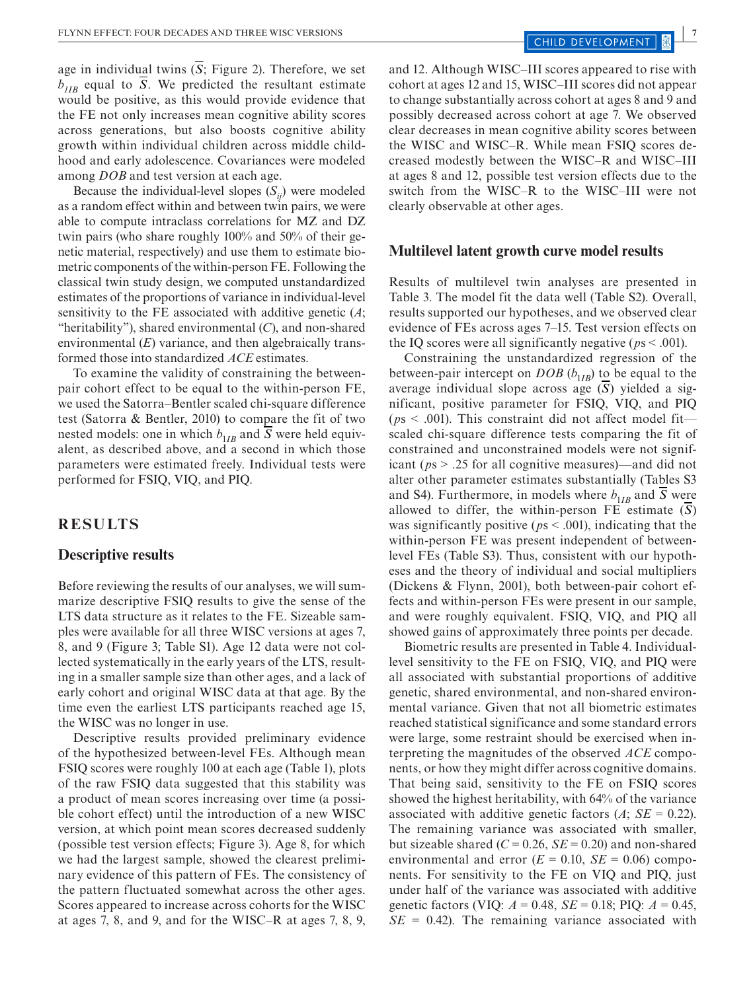age in individual twins  $(S;$  Figure 2). Therefore, we set  $b_{IB}$  equal to  $\overline{S}$ . We predicted the resultant estimate would be positive, as this would provide evidence that the FE not only increases mean cognitive ability scores across generations, but also boosts cognitive ability growth within individual children across middle childhood and early adolescence. Covariances were modeled among *DOB* and test version at each age.

Because the individual-level slopes  $(S_{ij})$  were modeled as a random effect within and between twin pairs, we were able to compute intraclass correlations for MZ and DZ twin pairs (who share roughly 100% and 50% of their genetic material, respectively) and use them to estimate biometric components of the within-person FE. Following the classical twin study design, we computed unstandardized estimates of the proportions of variance in individual-level sensitivity to the FE associated with additive genetic (*A*; "heritability"), shared environmental (*C*), and non-shared environmental (*E*) variance, and then algebraically transformed those into standardized *ACE* estimates.

To examine the validity of constraining the betweenpair cohort effect to be equal to the within-person FE, we used the Satorra–Bentler scaled chi-square difference test (Satorra & Bentler, 2010) to compare the fit of two nested models: one in which  $b_{1IB}$  and  $\overline{S}$  were held equivalent, as described above, and a second in which those parameters were estimated freely. Individual tests were performed for FSIQ, VIQ, and PIQ.

#### **RESULTS**

#### **Descriptive results**

Before reviewing the results of our analyses, we will summarize descriptive FSIQ results to give the sense of the LTS data structure as it relates to the FE. Sizeable samples were available for all three WISC versions at ages 7, 8, and 9 (Figure 3; Table S1). Age 12 data were not collected systematically in the early years of the LTS, resulting in a smaller sample size than other ages, and a lack of early cohort and original WISC data at that age. By the time even the earliest LTS participants reached age 15, the WISC was no longer in use.

Descriptive results provided preliminary evidence of the hypothesized between-level FEs. Although mean FSIQ scores were roughly 100 at each age (Table 1), plots of the raw FSIQ data suggested that this stability was a product of mean scores increasing over time (a possible cohort effect) until the introduction of a new WISC version, at which point mean scores decreased suddenly (possible test version effects; Figure 3). Age 8, for which we had the largest sample, showed the clearest preliminary evidence of this pattern of FEs. The consistency of the pattern fluctuated somewhat across the other ages. Scores appeared to increase across cohorts for the WISC at ages 7, 8, and 9, and for the WISC–R at ages 7, 8, 9, and 12. Although WISC–III scores appeared to rise with cohort at ages 12 and 15, WISC–III scores did not appear to change substantially across cohort at ages 8 and 9 and possibly decreased across cohort at age 7. We observed clear decreases in mean cognitive ability scores between the WISC and WISC–R. While mean FSIQ scores decreased modestly between the WISC–R and WISC–III at ages 8 and 12, possible test version effects due to the switch from the WISC–R to the WISC–III were not clearly observable at other ages.

#### **Multilevel latent growth curve model results**

Results of multilevel twin analyses are presented in Table 3. The model fit the data well (Table S2). Overall, results supported our hypotheses, and we observed clear evidence of FEs across ages 7–15. Test version effects on the IQ scores were all significantly negative ( $ps < .001$ ).

Constraining the unstandardized regression of the between-pair intercept on *DOB*  $(b_{1}$ <sub>*IB*</sub>) to be equal to the average individual slope across age (*S*) yielded a significant, positive parameter for FSIQ, VIQ, and PIQ ( $ps < .001$ ). This constraint did not affect model fit scaled chi-square difference tests comparing the fit of constrained and unconstrained models were not significant (*p*s > .25 for all cognitive measures)—and did not alter other parameter estimates substantially (Tables S3 and S4). Furthermore, in models where  $b_{1IB}$  and *S* were allowed to differ, the within-person FE estimate (*S*) was significantly positive (*p*s < .001), indicating that the within-person FE was present independent of betweenlevel FEs (Table S3). Thus, consistent with our hypotheses and the theory of individual and social multipliers (Dickens & Flynn, 2001), both between-pair cohort effects and within-person FEs were present in our sample, and were roughly equivalent. FSIQ, VIQ, and PIQ all showed gains of approximately three points per decade.

Biometric results are presented in Table 4. Individuallevel sensitivity to the FE on FSIQ, VIQ, and PIQ were all associated with substantial proportions of additive genetic, shared environmental, and non-shared environmental variance. Given that not all biometric estimates reached statistical significance and some standard errors were large, some restraint should be exercised when interpreting the magnitudes of the observed *ACE* components, or how they might differ across cognitive domains. That being said, sensitivity to the FE on FSIQ scores showed the highest heritability, with 64% of the variance associated with additive genetic factors  $(A; SE = 0.22)$ . The remaining variance was associated with smaller, but sizeable shared  $(C = 0.26, SE = 0.20)$  and non-shared environmental and error  $(E = 0.10, SE = 0.06)$  components. For sensitivity to the FE on VIQ and PIQ, just under half of the variance was associated with additive genetic factors (VIQ: *A* = 0.48, *SE* = 0.18; PIQ: *A* = 0.45,  $SE = 0.42$ ). The remaining variance associated with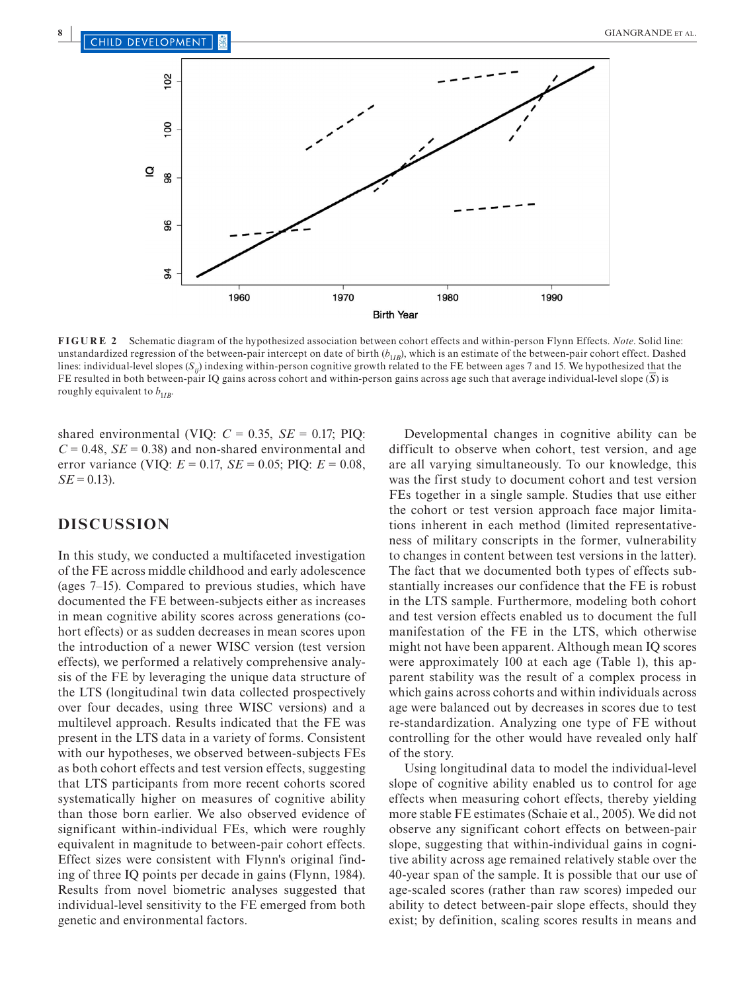

**FIGURE 2** Schematic diagram of the hypothesized association between cohort effects and within-person Flynn Effects. *Note*. Solid line: unstandardized regression of the between-pair intercept on date of birth ( $b_{1IB}$ ), which is an estimate of the between-pair cohort effect. Dashed lines: individual-level slopes (*Sij*) indexing within-person cognitive growth related to the FE between ages 7 and 15. We hypothesized that the FE resulted in both between-pair IQ gains across cohort and within-person gains across age such that average individual-level slope  $(\overline{S})$  is roughly equivalent to  $b_{1IR}$ .

shared environmental (VIQ:  $C = 0.35$ ,  $SE = 0.17$ ; PIQ:  $C = 0.48$ ,  $SE = 0.38$ ) and non-shared environmental and error variance (VIQ: *E* = 0.17, *SE* = 0.05; PIQ: *E* = 0.08,  $SE = 0.13$ .

## **DISCUSSION**

In this study, we conducted a multifaceted investigation of the FE across middle childhood and early adolescence (ages 7–15). Compared to previous studies, which have documented the FE between-subjects either as increases in mean cognitive ability scores across generations (cohort effects) or as sudden decreases in mean scores upon the introduction of a newer WISC version (test version effects), we performed a relatively comprehensive analysis of the FE by leveraging the unique data structure of the LTS (longitudinal twin data collected prospectively over four decades, using three WISC versions) and a multilevel approach. Results indicated that the FE was present in the LTS data in a variety of forms. Consistent with our hypotheses, we observed between-subjects FEs as both cohort effects and test version effects, suggesting that LTS participants from more recent cohorts scored systematically higher on measures of cognitive ability than those born earlier. We also observed evidence of significant within-individual FEs, which were roughly equivalent in magnitude to between-pair cohort effects. Effect sizes were consistent with Flynn's original finding of three IQ points per decade in gains (Flynn, 1984). Results from novel biometric analyses suggested that individual-level sensitivity to the FE emerged from both genetic and environmental factors.

Developmental changes in cognitive ability can be difficult to observe when cohort, test version, and age are all varying simultaneously. To our knowledge, this was the first study to document cohort and test version FEs together in a single sample. Studies that use either the cohort or test version approach face major limitations inherent in each method (limited representativeness of military conscripts in the former, vulnerability to changes in content between test versions in the latter). The fact that we documented both types of effects substantially increases our confidence that the FE is robust in the LTS sample. Furthermore, modeling both cohort and test version effects enabled us to document the full manifestation of the FE in the LTS, which otherwise might not have been apparent. Although mean IQ scores were approximately 100 at each age (Table 1), this apparent stability was the result of a complex process in which gains across cohorts and within individuals across age were balanced out by decreases in scores due to test re-standardization. Analyzing one type of FE without controlling for the other would have revealed only half of the story.

Using longitudinal data to model the individual-level slope of cognitive ability enabled us to control for age effects when measuring cohort effects, thereby yielding more stable FE estimates (Schaie et al., 2005). We did not observe any significant cohort effects on between-pair slope, suggesting that within-individual gains in cognitive ability across age remained relatively stable over the 40-year span of the sample. It is possible that our use of age-scaled scores (rather than raw scores) impeded our ability to detect between-pair slope effects, should they exist; by definition, scaling scores results in means and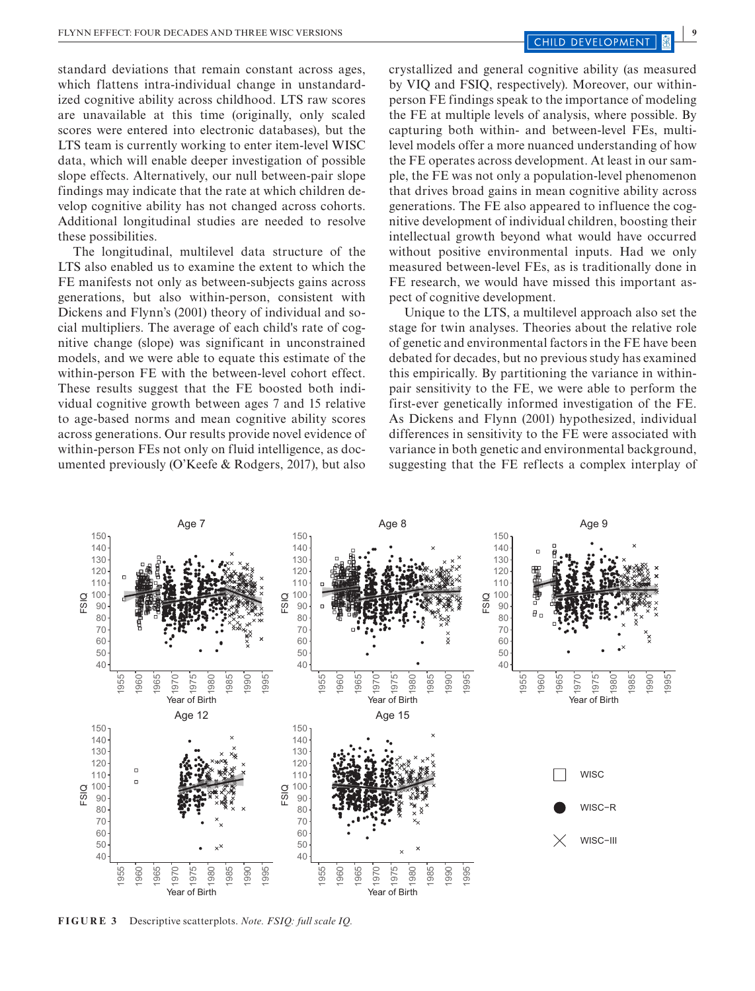standard deviations that remain constant across ages, which flattens intra-individual change in unstandardized cognitive ability across childhood. LTS raw scores are unavailable at this time (originally, only scaled scores were entered into electronic databases), but the LTS team is currently working to enter item-level WISC data, which will enable deeper investigation of possible slope effects. Alternatively, our null between-pair slope findings may indicate that the rate at which children develop cognitive ability has not changed across cohorts. Additional longitudinal studies are needed to resolve these possibilities.

The longitudinal, multilevel data structure of the LTS also enabled us to examine the extent to which the FE manifests not only as between-subjects gains across generations, but also within-person, consistent with Dickens and Flynn's (2001) theory of individual and social multipliers. The average of each child's rate of cognitive change (slope) was significant in unconstrained models, and we were able to equate this estimate of the within-person FE with the between-level cohort effect. These results suggest that the FE boosted both individual cognitive growth between ages 7 and 15 relative to age-based norms and mean cognitive ability scores across generations. Our results provide novel evidence of within-person FEs not only on fluid intelligence, as documented previously (O'Keefe & Rodgers, 2017), but also crystallized and general cognitive ability (as measured by VIQ and FSIQ, respectively). Moreover, our withinperson FE findings speak to the importance of modeling the FE at multiple levels of analysis, where possible. By capturing both within- and between-level FEs, multilevel models offer a more nuanced understanding of how the FE operates across development. At least in our sample, the FE was not only a population-level phenomenon that drives broad gains in mean cognitive ability across generations. The FE also appeared to influence the cognitive development of individual children, boosting their intellectual growth beyond what would have occurred without positive environmental inputs. Had we only measured between-level FEs, as is traditionally done in FE research, we would have missed this important aspect of cognitive development.

Unique to the LTS, a multilevel approach also set the stage for twin analyses. Theories about the relative role of genetic and environmental factors in the FE have been debated for decades, but no previous study has examined this empirically. By partitioning the variance in withinpair sensitivity to the FE, we were able to perform the first-ever genetically informed investigation of the FE. As Dickens and Flynn (2001) hypothesized, individual differences in sensitivity to the FE were associated with variance in both genetic and environmental background, suggesting that the FE reflects a complex interplay of



**FIGURE 3** Descriptive scatterplots. *Note. FSIQ: full scale IQ.*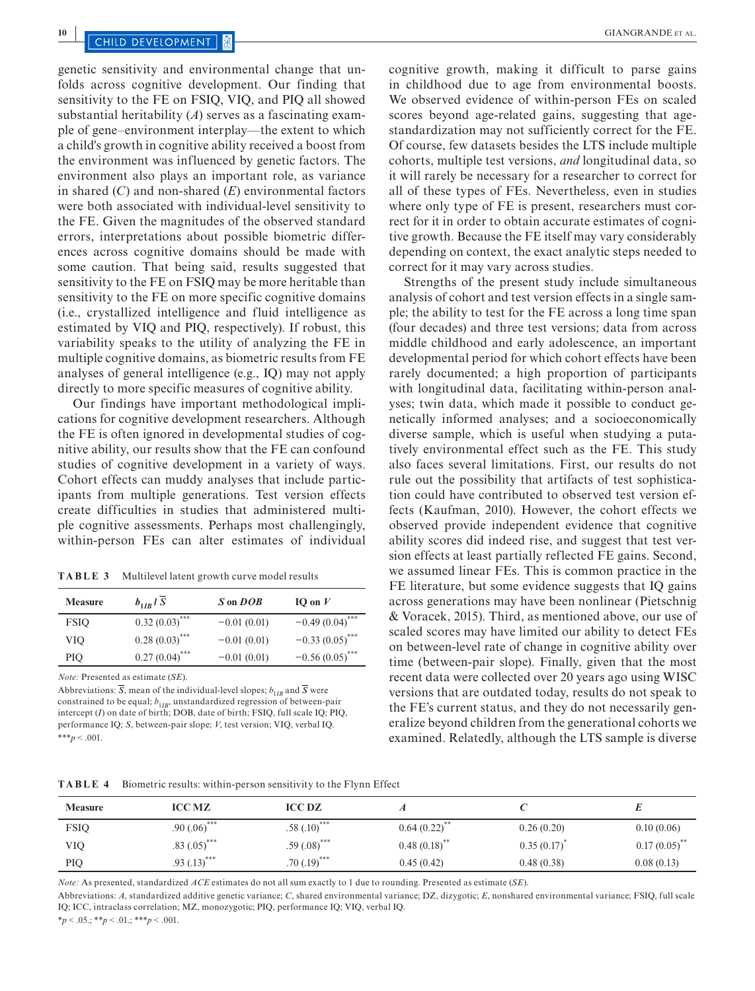genetic sensitivity and environmental change that unfolds across cognitive development. Our finding that sensitivity to the FE on FSIQ, VIQ, and PIQ all showed substantial heritability (*A*) serves as a fascinating example of gene–environment interplay—the extent to which a child's growth in cognitive ability received a boost from the environment was influenced by genetic factors. The environment also plays an important role, as variance in shared (*C*) and non-shared (*E*) environmental factors were both associated with individual-level sensitivity to the FE. Given the magnitudes of the observed standard errors, interpretations about possible biometric differences across cognitive domains should be made with some caution. That being said, results suggested that sensitivity to the FE on FSIQ may be more heritable than sensitivity to the FE on more specific cognitive domains (i.e., crystallized intelligence and fluid intelligence as estimated by VIQ and PIQ, respectively). If robust, this variability speaks to the utility of analyzing the FE in multiple cognitive domains, as biometric results from FE analyses of general intelligence (e.g., IQ) may not apply directly to more specific measures of cognitive ability.

Our findings have important methodological implications for cognitive development researchers. Although the FE is often ignored in developmental studies of cognitive ability, our results show that the FE can confound studies of cognitive development in a variety of ways. Cohort effects can muddy analyses that include participants from multiple generations. Test version effects create difficulties in studies that administered multiple cognitive assessments. Perhaps most challengingly, within-person FEs can alter estimates of individual

**TABLE 3** Multilevel latent growth curve model results

| <b>Measure</b> | $b_{1IR}$   S               | S on DOB      | IO on $V$                     |
|----------------|-----------------------------|---------------|-------------------------------|
| <b>FSIO</b>    | $0.32(0.03)$ <sup>***</sup> | $-0.01(0.01)$ | $-0.49(0.04)$ <sup>***</sup>  |
| VIO            | $0.28(0.03)$ ***            | $-0.01(0.01)$ | $-0.33(0.05)$ <sup>****</sup> |
| PІO            | $0.27(0.04)$ ***            | $-0.01(0.01)$ | $-0.56(0.05)$ <sup>***</sup>  |

*Note:* Presented as estimate (*SE*).

Abbreviations:  $\overline{S}$ , mean of the individual-level slopes;  $b_{1IB}$  and  $\overline{S}$  were constrained to be equal;  $b_{1IB}$ , unstandardized regression of between-pair intercept (*I*) on date of birth; DOB, date of birth; FSIQ, full scale IQ; PIQ, performance IQ; *S*, between-pair slope; *V*, test version; VIQ, verbal IQ. \*\*\**p* < .001.

cognitive growth, making it difficult to parse gains in childhood due to age from environmental boosts. We observed evidence of within-person FEs on scaled scores beyond age-related gains, suggesting that agestandardization may not sufficiently correct for the FE. Of course, few datasets besides the LTS include multiple cohorts, multiple test versions, *and* longitudinal data, so it will rarely be necessary for a researcher to correct for all of these types of FEs. Nevertheless, even in studies where only type of FE is present, researchers must correct for it in order to obtain accurate estimates of cognitive growth. Because the FE itself may vary considerably depending on context, the exact analytic steps needed to correct for it may vary across studies.

Strengths of the present study include simultaneous analysis of cohort and test version effects in a single sample; the ability to test for the FE across a long time span (four decades) and three test versions; data from across middle childhood and early adolescence, an important developmental period for which cohort effects have been rarely documented; a high proportion of participants with longitudinal data, facilitating within-person analyses; twin data, which made it possible to conduct genetically informed analyses; and a socioeconomically diverse sample, which is useful when studying a putatively environmental effect such as the FE. This study also faces several limitations. First, our results do not rule out the possibility that artifacts of test sophistication could have contributed to observed test version effects (Kaufman, 2010). However, the cohort effects we observed provide independent evidence that cognitive ability scores did indeed rise, and suggest that test version effects at least partially reflected FE gains. Second, we assumed linear FEs. This is common practice in the FE literature, but some evidence suggests that IQ gains across generations may have been nonlinear (Pietschnig & Voracek, 2015). Third, as mentioned above, our use of scaled scores may have limited our ability to detect FEs on between-level rate of change in cognitive ability over time (between-pair slope). Finally, given that the most recent data were collected over 20 years ago using WISC versions that are outdated today, results do not speak to the FE's current status, and they do not necessarily generalize beyond children from the generational cohorts we examined. Relatedly, although the LTS sample is diverse

| TABLE 4 | Biometric results: within-person sensitivity to the Flynn Effect |  |  |  |
|---------|------------------------------------------------------------------|--|--|--|
|---------|------------------------------------------------------------------|--|--|--|

| <b>Measure</b> | <b>ICC MZ</b>             | <b>ICC DZ</b>             |                            |            |                 |
|----------------|---------------------------|---------------------------|----------------------------|------------|-----------------|
| <b>FSIQ</b>    | $.90(0.06)$ ***           | $.58(.10)$ <sup>***</sup> | $0.64(0.22)$ **            | 0.26(0.20) | 0.10(0.06)      |
| <b>VIO</b>     | $.83(.05)$ ***            | $.59(.08)$ ***            | $0.48(0.18)$ <sup>**</sup> | 0.35(0.17) | $0.17(0.05)$ ** |
| PIQ            | $.93(.13)$ <sup>***</sup> | $.70(.19)$ ***            | 0.45(0.42)                 | 0.48(0.38) | 0.08(0.13)      |

*Note:* As presented, standardized *ACE* estimates do not all sum exactly to 1 due to rounding. Presented as estimate (*SE*).

Abbreviations: *A*, standardized additive genetic variance; *C*, shared environmental variance; DZ, dizygotic; *E*, nonshared environmental variance; FSIQ, full scale IQ; ICC, intraclass correlation; MZ, monozygotic; PIQ, performance IQ; VIQ, verbal IQ.

\**p* < .05.; \*\**p* < .01.; \*\*\**p* < .001.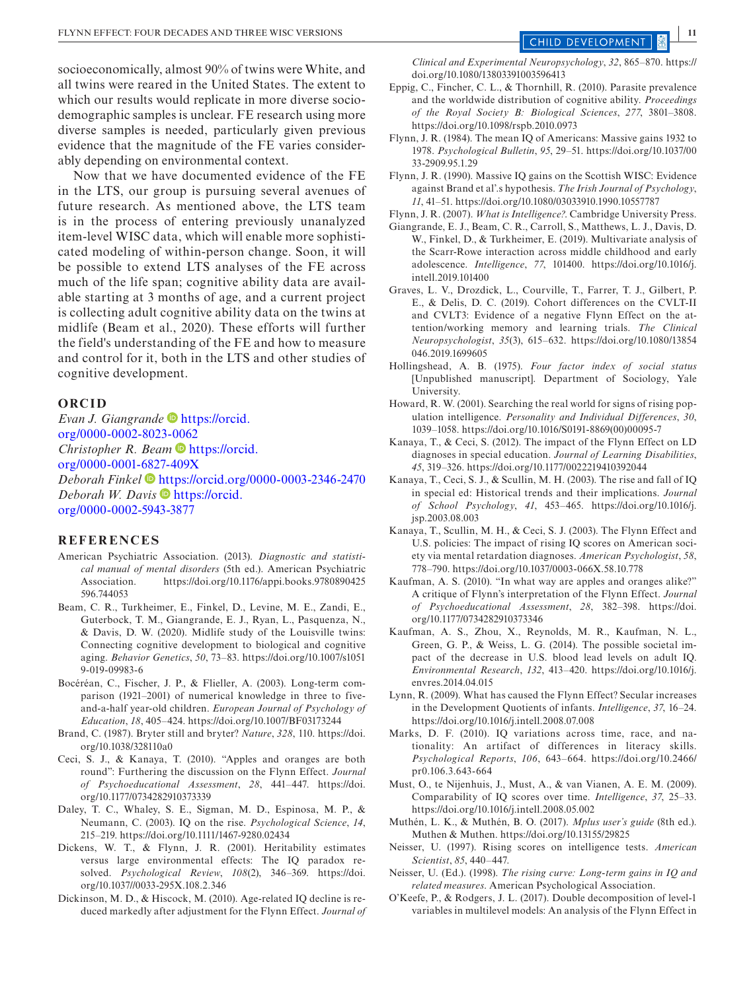socioeconomically, almost 90% of twins were White, and all twins were reared in the United States. The extent to which our results would replicate in more diverse sociodemographic samples is unclear. FE research using more diverse samples is needed, particularly given previous evidence that the magnitude of the FE varies considerably depending on environmental context.

Now that we have documented evidence of the FE in the LTS, our group is pursuing several avenues of future research. As mentioned above, the LTS team is in the process of entering previously unanalyzed item-level WISC data, which will enable more sophisticated modeling of within-person change. Soon, it will be possible to extend LTS analyses of the FE across much of the life span; cognitive ability data are available starting at 3 months of age, and a current project is collecting adult cognitive ability data on the twins at midlife (Beam et al., 2020). These efforts will further the field's understanding of the FE and how to measure and control for it, both in the LTS and other studies of cognitive development.

#### **ORCID**

*Evan J. Giangrande* [https://orcid.](https://orcid.org/0000-0002-8023-0062) [org/0000-0002-8023-0062](https://orcid.org/0000-0002-8023-0062) *Christopher R. Beam* **b** [https://orcid.](https://orcid.org/0000-0001-6827-409X) [org/0000-0001-6827-409X](https://orcid.org/0000-0001-6827-409X) *Deborah Finkel* <https://orcid.org/0000-0003-2346-2470> *Deborah W. Davis* **[https://orcid.](https://orcid.org/0000-0002-5943-3877)** [org/0000-0002-5943-3877](https://orcid.org/0000-0002-5943-3877)

#### **REFERENCES**

- American Psychiatric Association. (2013). *Diagnostic and statistical manual of mental disorders* (5th ed.). American Psychiatric Association. [https://doi.org/10.1176/appi.books.9780890425](https://doi.org/10.1176/appi.books.9780890425596.744053) [596.744053](https://doi.org/10.1176/appi.books.9780890425596.744053)
- Beam, C. R., Turkheimer, E., Finkel, D., Levine, M. E., Zandi, E., Guterbock, T. M., Giangrande, E. J., Ryan, L., Pasquenza, N., & Davis, D. W. (2020). Midlife study of the Louisville twins: Connecting cognitive development to biological and cognitive aging. *Behavior Genetics*, *50*, 73–83. [https://doi.org/10.1007/s1051](https://doi.org/10.1007/s10519-019-09983-6) [9-019-09983-6](https://doi.org/10.1007/s10519-019-09983-6)
- Bocéréan, C., Fischer, J. P., & Flieller, A. (2003). Long-term comparison (1921–2001) of numerical knowledge in three to fiveand-a-half year-old children. *European Journal of Psychology of Education*, *18*, 405–424.<https://doi.org/10.1007/BF03173244>
- Brand, C. (1987). Bryter still and bryter? *Nature*, *328*, 110. [https://doi.](https://doi.org/10.1038/328110a0) [org/10.1038/328110a0](https://doi.org/10.1038/328110a0)
- Ceci, S. J., & Kanaya, T. (2010). "Apples and oranges are both round": Furthering the discussion on the Flynn Effect. *Journal of Psychoeducational Assessment*, *28*, 441–447. [https://doi.](https://doi.org/10.1177/0734282910373339) [org/10.1177/0734282910373339](https://doi.org/10.1177/0734282910373339)
- Daley, T. C., Whaley, S. E., Sigman, M. D., Espinosa, M. P., & Neumann, C. (2003). IQ on the rise. *Psychological Science*, *14*, 215–219. <https://doi.org/10.1111/1467-9280.02434>
- Dickens, W. T., & Flynn, J. R. (2001). Heritability estimates versus large environmental effects: The IQ paradox resolved. *Psychological Review*, *108*(2), 346–369. [https://doi.](https://doi.org/10.1037//0033-295X.108.2.346) [org/10.1037//0033-295X.108.2.346](https://doi.org/10.1037//0033-295X.108.2.346)
- Dickinson, M. D., & Hiscock, M. (2010). Age-related IQ decline is reduced markedly after adjustment for the Flynn Effect. *Journal of*

*Clinical and Experimental Neuropsychology*, *32*, 865–870. [https://](https://doi.org/10.1080/13803391003596413) [doi.org/10.1080/13803391003596413](https://doi.org/10.1080/13803391003596413)

- Eppig, C., Fincher, C. L., & Thornhill, R. (2010). Parasite prevalence and the worldwide distribution of cognitive ability. *Proceedings of the Royal Society B: Biological Sciences*, *277*, 3801–3808. <https://doi.org/10.1098/rspb.2010.0973>
- Flynn, J. R. (1984). The mean IQ of Americans: Massive gains 1932 to 1978. *Psychological Bulletin*, *95*, 29–51. [https://doi.org/10.1037/00](https://doi.org/10.1037/0033-2909.95.1.29) [33-2909.95.1.29](https://doi.org/10.1037/0033-2909.95.1.29)
- Flynn, J. R. (1990). Massive IQ gains on the Scottish WISC: Evidence against Brand et al'.s hypothesis. *The Irish Journal of Psychology*, *11*, 41–51.<https://doi.org/10.1080/03033910.1990.10557787>
- Flynn, J. R. (2007). *What is Intelligence?*. Cambridge University Press.
- Giangrande, E. J., Beam, C. R., Carroll, S., Matthews, L. J., Davis, D. W., Finkel, D., & Turkheimer, E. (2019). Multivariate analysis of the Scarr-Rowe interaction across middle childhood and early adolescence. *Intelligence*, *77*, 101400. [https://doi.org/10.1016/j.](https://doi.org/10.1016/j.intell.2019.101400) [intell.2019.101400](https://doi.org/10.1016/j.intell.2019.101400)
- Graves, L. V., Drozdick, L., Courville, T., Farrer, T. J., Gilbert, P. E., & Delis, D. C. (2019). Cohort differences on the CVLT-II and CVLT3: Evidence of a negative Flynn Effect on the attention/working memory and learning trials. *The Clinical Neuropsychologist*, *35*(3), 615–632. [https://doi.org/10.1080/13854](https://doi.org/10.1080/13854046.2019.1699605) [046.2019.1699605](https://doi.org/10.1080/13854046.2019.1699605)
- Hollingshead, A. B. (1975). *Four factor index of social status* [Unpublished manuscript]. Department of Sociology, Yale University.
- Howard, R. W. (2001). Searching the real world for signs of rising population intelligence. *Personality and Individual Differences*, *30*, 1039–1058. [https://doi.org/10.1016/S0191-8869\(00\)00095-7](https://doi.org/10.1016/S0191-8869(00)00095-7)
- Kanaya, T., & Ceci, S. (2012). The impact of the Flynn Effect on LD diagnoses in special education. *Journal of Learning Disabilities*, *45*, 319–326.<https://doi.org/10.1177/0022219410392044>
- Kanaya, T., Ceci, S. J., & Scullin, M. H. (2003). The rise and fall of IQ in special ed: Historical trends and their implications. *Journal of School Psychology*, *41*, 453–465. [https://doi.org/10.1016/j.](https://doi.org/10.1016/j.jsp.2003.08.003) [jsp.2003.08.003](https://doi.org/10.1016/j.jsp.2003.08.003)
- Kanaya, T., Scullin, M. H., & Ceci, S. J. (2003). The Flynn Effect and U.S. policies: The impact of rising IQ scores on American society via mental retardation diagnoses. *American Psychologist*, *58*, 778–790.<https://doi.org/10.1037/0003-066X.58.10.778>
- Kaufman, A. S. (2010). "In what way are apples and oranges alike?" A critique of Flynn's interpretation of the Flynn Effect. *Journal of Psychoeducational Assessment*, *28*, 382–398. [https://doi.](https://doi.org/10.1177/0734282910373346) [org/10.1177/0734282910373346](https://doi.org/10.1177/0734282910373346)
- Kaufman, A. S., Zhou, X., Reynolds, M. R., Kaufman, N. L., Green, G. P., & Weiss, L. G. (2014). The possible societal impact of the decrease in U.S. blood lead levels on adult IQ. *Environmental Research*, *132*, 413–420. [https://doi.org/10.1016/j.](https://doi.org/10.1016/j.envres.2014.04.015) [envres.2014.04.015](https://doi.org/10.1016/j.envres.2014.04.015)
- Lynn, R. (2009). What has caused the Flynn Effect? Secular increases in the Development Quotients of infants. *Intelligence*, *37*, 16–24. <https://doi.org/10.1016/j.intell.2008.07.008>
- Marks, D. F. (2010). IQ variations across time, race, and nationality: An artifact of differences in literacy skills. *Psychological Reports*, *106*, 643–664. [https://doi.org/10.2466/](https://doi.org/10.2466/pr0.106.3.643-664) [pr0.106.3.643-664](https://doi.org/10.2466/pr0.106.3.643-664)
- Must, O., te Nijenhuis, J., Must, A., & van Vianen, A. E. M. (2009). Comparability of IQ scores over time. *Intelligence*, *37*, 25–33. <https://doi.org/10.1016/j.intell.2008.05.002>
- Muthén, L. K., & Muthén, B. O. (2017). *Mplus user's guide* (8th ed.). Muthen & Muthen. <https://doi.org/10.13155/29825>
- Neisser, U. (1997). Rising scores on intelligence tests. *American Scientist*, *85*, 440–447.
- Neisser, U. (Ed.). (1998). *The rising curve: Long-term gains in IQ and related measures*. American Psychological Association.
- O'Keefe, P., & Rodgers, J. L. (2017). Double decomposition of level-1 variables in multilevel models: An analysis of the Flynn Effect in